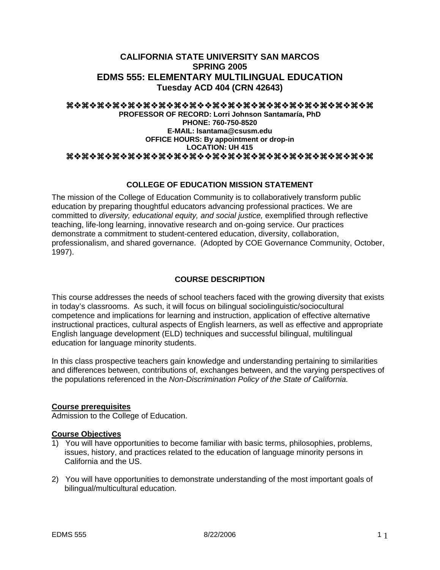# **CALIFORNIA STATE UNIVERSITY SAN MARCOS SPRING 2005 EDMS 555: ELEMENTARY MULTILINGUAL EDUCATION Tuesday ACD 404 (CRN 42643)**

#### aaaaaaaaaaaaaaaaaaaa

#### **PROFESSOR OF RECORD: Lorri Johnson Santamaría, PhD PHONE: 760-750-8520 E-MAIL: lsantama@csusm.edu OFFICE HOURS: By appointment or drop-in LOCATION: UH 415**  aaaaaaaaaaaaaaaaaaaa

## **COLLEGE OF EDUCATION MISSION STATEMENT**

The mission of the College of Education Community is to collaboratively transform public education by preparing thoughtful educators advancing professional practices. We are committed to *diversity, educational equity, and social justice,* exemplified through reflective teaching, life-long learning, innovative research and on-going service. Our practices demonstrate a commitment to student-centered education, diversity, collaboration, professionalism, and shared governance. (Adopted by COE Governance Community, October, 1997).

## **COURSE DESCRIPTION**

This course addresses the needs of school teachers faced with the growing diversity that exists in today's classrooms. As such, it will focus on bilingual sociolinguistic/sociocultural competence and implications for learning and instruction, application of effective alternative instructional practices, cultural aspects of English learners, as well as effective and appropriate English language development (ELD) techniques and successful bilingual, multilingual education for language minority students.

In this class prospective teachers gain knowledge and understanding pertaining to similarities and differences between, contributions of, exchanges between, and the varying perspectives of the populations referenced in the *Non-Discrimination Policy of the State of California.*

#### **Course prerequisites**

Admission to the College of Education.

#### **Course Objectives**

- 1) You will have opportunities to become familiar with basic terms, philosophies, problems, issues, history, and practices related to the education of language minority persons in California and the US.
- 2) You will have opportunities to demonstrate understanding of the most important goals of bilingual/multicultural education.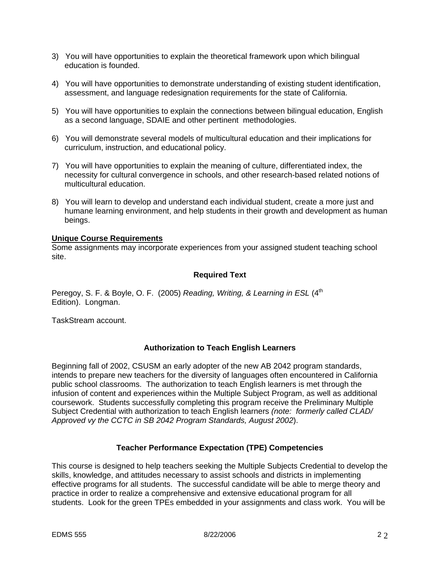- 3) You will have opportunities to explain the theoretical framework upon which bilingual education is founded.
- 4) You will have opportunities to demonstrate understanding of existing student identification, assessment, and language redesignation requirements for the state of California.
- 5) You will have opportunities to explain the connections between bilingual education, English as a second language, SDAIE and other pertinent methodologies.
- 6) You will demonstrate several models of multicultural education and their implications for curriculum, instruction, and educational policy.
- 7) You will have opportunities to explain the meaning of culture, differentiated index, the necessity for cultural convergence in schools, and other research-based related notions of multicultural education.
- 8) You will learn to develop and understand each individual student, create a more just and humane learning environment, and help students in their growth and development as human beings.

## **Unique Course Requirements**

Some assignments may incorporate experiences from your assigned student teaching school site.

## **Required Text**

Peregoy, S. F. & Boyle, O. F. (2005) *Reading, Writing, & Learning in ESL* (4<sup>th</sup>) Edition). Longman.

TaskStream account.

## **Authorization to Teach English Learners**

Beginning fall of 2002, CSUSM an early adopter of the new AB 2042 program standards, intends to prepare new teachers for the diversity of languages often encountered in California public school classrooms. The authorization to teach English learners is met through the infusion of content and experiences within the Multiple Subject Program, as well as additional coursework. Students successfully completing this program receive the Preliminary Multiple Subject Credential with authorization to teach English learners *(note: formerly called CLAD/ Approved vy the CCTC in SB 2042 Program Standards, August 2002*).

## **Teacher Performance Expectation (TPE) Competencies**

This course is designed to help teachers seeking the Multiple Subjects Credential to develop the skills, knowledge, and attitudes necessary to assist schools and districts in implementing effective programs for all students. The successful candidate will be able to merge theory and practice in order to realize a comprehensive and extensive educational program for all students. Look for the green TPEs embedded in your assignments and class work. You will be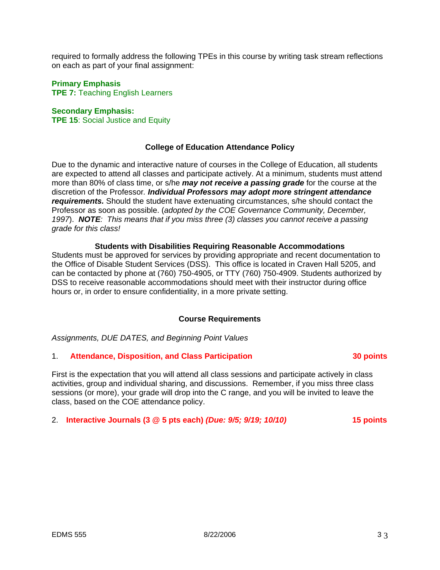required to formally address the following TPEs in this course by writing task stream reflections on each as part of your final assignment:

## **Primary Emphasis**

**TPE 7:** Teaching English Learners

## **Secondary Emphasis:**

**TPE 15**: Social Justice and Equity

## **College of Education Attendance Policy**

Due to the dynamic and interactive nature of courses in the College of Education, all students are expected to attend all classes and participate actively. At a minimum, students must attend more than 80% of class time, or s/he *may not receive a passing grade* for the course at the discretion of the Professor*. Individual Professors may adopt more stringent attendance requirements.* Should the student have extenuating circumstances, s/he should contact the Professor as soon as possible. (*adopted by the COE Governance Community, December, 1997*). *NOTE: This means that if you miss three (3) classes you cannot receive a passing grade for this class!*

#### **Students with Disabilities Requiring Reasonable Accommodations**

Students must be approved for services by providing appropriate and recent documentation to the Office of Disable Student Services (DSS). This office is located in Craven Hall 5205, and can be contacted by phone at (760) 750-4905, or TTY (760) 750-4909. Students authorized by DSS to receive reasonable accommodations should meet with their instructor during office hours or, in order to ensure confidentiality, in a more private setting.

#### **Course Requirements**

*Assignments, DUE DATES, and Beginning Point Values* 

#### 1. **Attendance, Disposition, and Class Participation 30 points**

First is the expectation that you will attend all class sessions and participate actively in class activities, group and individual sharing, and discussions. Remember, if you miss three class sessions (or more), your grade will drop into the C range, and you will be invited to leave the class, based on the COE attendance policy.

#### 2. **Interactive Journals (3 @ 5 pts each)** *(Due: 9/5; 9/19; 10/10)* **15 points**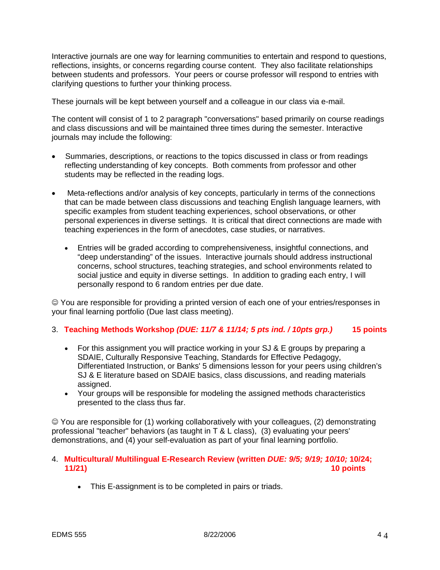Interactive journals are one way for learning communities to entertain and respond to questions, reflections, insights, or concerns regarding course content. They also facilitate relationships between students and professors. Your peers or course professor will respond to entries with clarifying questions to further your thinking process.

These journals will be kept between yourself and a colleague in our class via e-mail.

The content will consist of 1 to 2 paragraph "conversations" based primarily on course readings and class discussions and will be maintained three times during the semester. Interactive journals may include the following:

- Summaries, descriptions, or reactions to the topics discussed in class or from readings reflecting understanding of key concepts. Both comments from professor and other students may be reflected in the reading logs.
- Meta-reflections and/or analysis of key concepts, particularly in terms of the connections that can be made between class discussions and teaching English language learners, with specific examples from student teaching experiences, school observations, or other personal experiences in diverse settings. It is critical that direct connections are made with teaching experiences in the form of anecdotes, case studies, or narratives.
	- Entries will be graded according to comprehensiveness, insightful connections, and "deep understanding" of the issues. Interactive journals should address instructional concerns, school structures, teaching strategies, and school environments related to social justice and equity in diverse settings. In addition to grading each entry, I will personally respond to 6 random entries per due date.

☺ You are responsible for providing a printed version of each one of your entries/responses in your final learning portfolio (Due last class meeting).

## 3. **Teaching Methods Workshop** *(DUE: 11/7 & 11/14; 5 pts ind. / 10pts grp.)* **15 points**

- For this assignment you will practice working in your SJ & E groups by preparing a SDAIE, Culturally Responsive Teaching, Standards for Effective Pedagogy, Differentiated Instruction, or Banks' 5 dimensions lesson for your peers using children's SJ & E literature based on SDAIE basics, class discussions, and reading materials assigned.
- Your groups will be responsible for modeling the assigned methods characteristics presented to the class thus far.

☺ You are responsible for (1) working collaboratively with your colleagues, (2) demonstrating professional "teacher" behaviors (as taught in T & L class), (3) evaluating your peers' demonstrations, and (4) your self-evaluation as part of your final learning portfolio.

## 4. **Multicultural/ Multilingual E-Research Review (written** *DUE: 9/5; 9/19; 10/10;* **10/24; 11/21) 10 points**

• This E-assignment is to be completed in pairs or triads.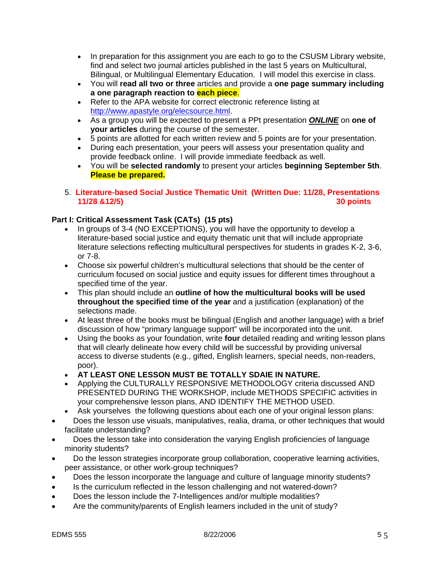- In preparation for this assignment you are each to go to the CSUSM Library website, find and select two journal articles published in the last 5 years on Multicultural, Bilingual, or Multilingual Elementary Education. I will model this exercise in class.
- You will **read all two or three** articles and provide a **one page summary including a one paragraph reaction to each piece**.
- Refer to the APA website for correct electronic reference listing at http://www.apastyle.org/elecsource.html.
- As a group you will be expected to present a PPt presentation *ONLINE* on **one of your articles** during the course of the semester.
- 5 points are allotted for each written review and 5 points are for your presentation.
- During each presentation, your peers will assess your presentation quality and provide feedback online. I will provide immediate feedback as well.
- You will be **selected randomly** to present your articles **beginning September 5th**. **Please be prepared.**
- 5. **Literature-based Social Justice Thematic Unit (Written Due: 11/28, Presentations 11/28 &12/5) 30 points**

# **Part I: Critical Assessment Task (CATs) (15 pts)**

- In groups of 3-4 (NO EXCEPTIONS), you will have the opportunity to develop a literature-based social justice and equity thematic unit that will include appropriate literature selections reflecting multicultural perspectives for students in grades K-2, 3-6, or 7-8.
- Choose six powerful children's multicultural selections that should be the center of curriculum focused on social justice and equity issues for different times throughout a specified time of the year.
- This plan should include an **outline of how the multicultural books will be used throughout the specified time of the year** and a justification (explanation) of the selections made.
- At least three of the books must be bilingual (English and another language) with a brief discussion of how "primary language support" will be incorporated into the unit.
- Using the books as your foundation, write **four** detailed reading and writing lesson plans that will clearly delineate how every child will be successful by providing universal access to diverse students (e.g., gifted, English learners, special needs, non-readers, poor).
- **AT LEAST ONE LESSON MUST BE TOTALLY SDAIE IN NATURE.**
- Applying the CULTURALLY RESPONSIVE METHODOLOGY criteria discussed AND PRESENTED DURING THE WORKSHOP, include METHODS SPECIFIC activities in your comprehensive lesson plans, AND IDENTIFY THE METHOD USED.
- Ask yourselves the following questions about each one of your original lesson plans:
- Does the lesson use visuals, manipulatives, realia, drama, or other techniques that would facilitate understanding?
- Does the lesson take into consideration the varying English proficiencies of language minority students?
- Do the lesson strategies incorporate group collaboration, cooperative learning activities, peer assistance, or other work-group techniques?
- Does the lesson incorporate the language and culture of language minority students?
- Is the curriculum reflected in the lesson challenging and not watered-down?
- Does the lesson include the 7-Intelligences and/or multiple modalities?
- Are the community/parents of English learners included in the unit of study?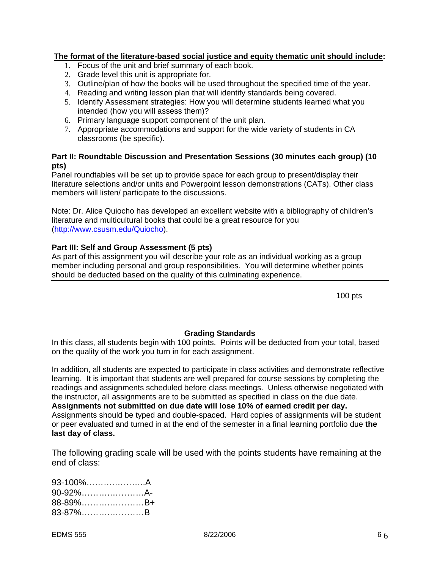## **The format of the literature-based social justice and equity thematic unit should include:**

- 1. Focus of the unit and brief summary of each book.
- 2. Grade level this unit is appropriate for.
- 3. Outline/plan of how the books will be used throughout the specified time of the year.
- 4. Reading and writing lesson plan that will identify standards being covered.
- 5. Identify Assessment strategies: How you will determine students learned what you intended (how you will assess them)?
- 6. Primary language support component of the unit plan.
- 7. Appropriate accommodations and support for the wide variety of students in CA classrooms (be specific).

## **Part II: Roundtable Discussion and Presentation Sessions (30 minutes each group) (10 pts)**

Panel roundtables will be set up to provide space for each group to present/display their literature selections and/or units and Powerpoint lesson demonstrations (CATs). Other class members will listen/ participate to the discussions.

Note: Dr. Alice Quiocho has developed an excellent website with a bibliography of children's literature and multicultural books that could be a great resource for you (http://www.csusm.edu/Quiocho).

## **Part III: Self and Group Assessment (5 pts)**

As part of this assignment you will describe your role as an individual working as a group member including personal and group responsibilities. You will determine whether points should be deducted based on the quality of this culminating experience.

100 pts

## **Grading Standards**

In this class, all students begin with 100 points. Points will be deducted from your total, based on the quality of the work you turn in for each assignment.

In addition, all students are expected to participate in class activities and demonstrate reflective learning. It is important that students are well prepared for course sessions by completing the readings and assignments scheduled before class meetings. Unless otherwise negotiated with the instructor, all assignments are to be submitted as specified in class on the due date. **Assignments not submitted on due date will lose 10% of earned credit per day.** Assignments should be typed and double-spaced. Hard copies of assignments will be student or peer evaluated and turned in at the end of the semester in a final learning portfolio due **the last day of class.**

The following grading scale will be used with the points students have remaining at the end of class:

| 93-100%A |  |
|----------|--|
| 90-92%A- |  |
| 88-89%B+ |  |
| 83-87%B  |  |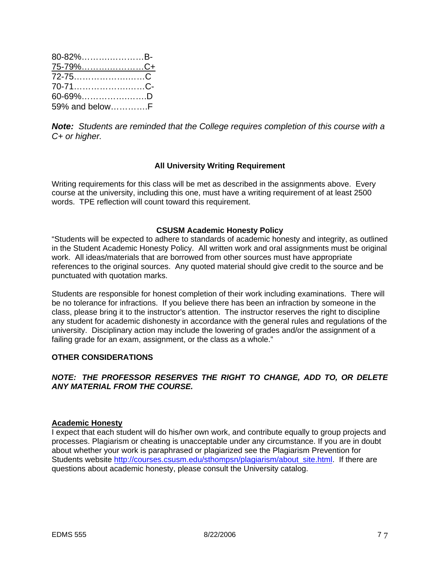| 80-82%B-         |  |
|------------------|--|
| 75-7 <u>9%C+</u> |  |
| 72-75C           |  |
| 70-71C-          |  |
| 60-69%D          |  |
| 59% and belowF   |  |

*Note: Students are reminded that the College requires completion of this course with a C+ or higher.*

## **All University Writing Requirement**

Writing requirements for this class will be met as described in the assignments above. Every course at the university, including this one, must have a writing requirement of at least 2500 words. TPE reflection will count toward this requirement.

#### **CSUSM Academic Honesty Policy**

"Students will be expected to adhere to standards of academic honesty and integrity, as outlined in the Student Academic Honesty Policy. All written work and oral assignments must be original work. All ideas/materials that are borrowed from other sources must have appropriate references to the original sources. Any quoted material should give credit to the source and be punctuated with quotation marks.

Students are responsible for honest completion of their work including examinations. There will be no tolerance for infractions. If you believe there has been an infraction by someone in the class, please bring it to the instructor's attention. The instructor reserves the right to discipline any student for academic dishonesty in accordance with the general rules and regulations of the university. Disciplinary action may include the lowering of grades and/or the assignment of a failing grade for an exam, assignment, or the class as a whole."

#### **OTHER CONSIDERATIONS**

## *NOTE: THE PROFESSOR RESERVES THE RIGHT TO CHANGE, ADD TO, OR DELETE ANY MATERIAL FROM THE COURSE.*

#### **Academic Honesty**

I expect that each student will do his/her own work, and contribute equally to group projects and processes. Plagiarism or cheating is unacceptable under any circumstance. If you are in doubt about whether your work is paraphrased or plagiarized see the Plagiarism Prevention for Students website http://courses.csusm.edu/sthompsn/plagiarism/about\_site.html. If there are questions about academic honesty, please consult the University catalog.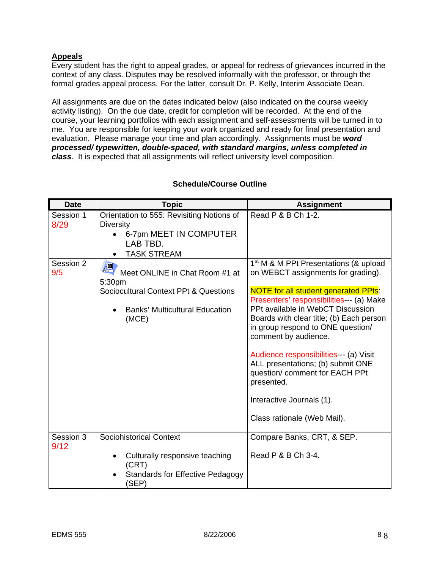# **Appeals**

Every student has the right to appeal grades, or appeal for redress of grievances incurred in the context of any class. Disputes may be resolved informally with the professor, or through the formal grades appeal process. For the latter, consult Dr. P. Kelly, Interim Associate Dean.

All assignments are due on the dates indicated below (also indicated on the course weekly activity listing). On the due date, credit for completion will be recorded. At the end of the course, your learning portfolios with each assignment and self-assessments will be turned in to me. You are responsible for keeping your work organized and ready for final presentation and evaluation. Please manage your time and plan accordingly. Assignments must be *word processed/ typewritten, double-spaced, with standard margins, unless completed in class*. It is expected that all assignments will reflect university level composition.

| <b>Date</b>       | <b>Topic</b>                                                                                                                             | <b>Assignment</b>                                                                                                                                                                                                                                                                                                                                                                                                                                                                                                           |
|-------------------|------------------------------------------------------------------------------------------------------------------------------------------|-----------------------------------------------------------------------------------------------------------------------------------------------------------------------------------------------------------------------------------------------------------------------------------------------------------------------------------------------------------------------------------------------------------------------------------------------------------------------------------------------------------------------------|
| Session 1<br>8/29 | Orientation to 555: Revisiting Notions of<br><b>Diversity</b><br>6-7pm MEET IN COMPUTER<br>LAB TBD.<br><b>TASK STREAM</b>                | Read P & B Ch 1-2.                                                                                                                                                                                                                                                                                                                                                                                                                                                                                                          |
| Session 2<br>9/5  | Meet ONLINE in Chat Room #1 at<br>5:30pm<br>Sociocultural Context PPt & Questions<br><b>Banks' Multicultural Education</b><br>٠<br>(MCE) | 1 <sup>st</sup> M & M PPt Presentations (& upload<br>on WEBCT assignments for grading).<br><b>NOTE for all student generated PPts:</b><br>Presenters' responsibilities--- (a) Make<br>PPt available in WebCT Discussion<br>Boards with clear title; (b) Each person<br>in group respond to ONE question/<br>comment by audience.<br>Audience responsibilities--- (a) Visit<br>ALL presentations; (b) submit ONE<br>question/ comment for EACH PPt<br>presented.<br>Interactive Journals (1).<br>Class rationale (Web Mail). |
| Session 3<br>9/12 | <b>Sociohistorical Context</b>                                                                                                           | Compare Banks, CRT, & SEP.                                                                                                                                                                                                                                                                                                                                                                                                                                                                                                  |
|                   | Culturally responsive teaching<br>٠<br>(CRT)<br><b>Standards for Effective Pedagogy</b><br>(SEP)                                         | Read P & B Ch 3-4.                                                                                                                                                                                                                                                                                                                                                                                                                                                                                                          |

## **Schedule/Course Outline**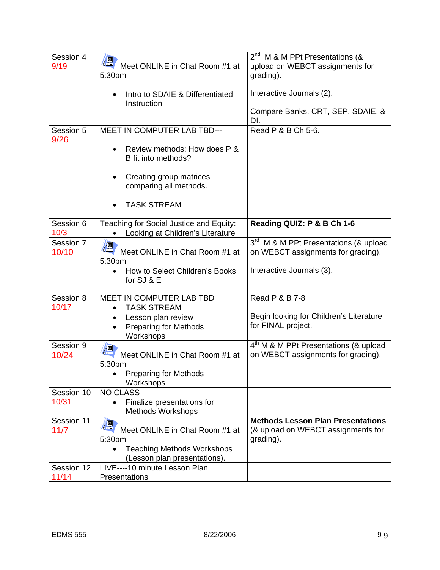| Session 4<br>9/19   | Meet ONLINE in Chat Room #1 at<br>5:30pm<br>Intro to SDAIE & Differentiated<br>Instruction                                | 2 <sup>nd</sup> M & M PPt Presentations (&<br>upload on WEBCT assignments for<br>grading).<br>Interactive Journals (2). |
|---------------------|---------------------------------------------------------------------------------------------------------------------------|-------------------------------------------------------------------------------------------------------------------------|
|                     |                                                                                                                           | Compare Banks, CRT, SEP, SDAIE, &<br>DI.                                                                                |
| Session 5<br>9/26   | <b>MEET IN COMPUTER LAB TBD---</b><br>Review methods: How does P &<br>B fit into methods?                                 | Read P & B Ch 5-6.                                                                                                      |
|                     | Creating group matrices<br>comparing all methods.                                                                         |                                                                                                                         |
|                     | <b>TASK STREAM</b>                                                                                                        |                                                                                                                         |
| Session 6<br>10/3   | Teaching for Social Justice and Equity:<br>Looking at Children's Literature                                               | Reading QUIZ: P & B Ch 1-6                                                                                              |
| Session 7<br>10/10  | $\delta$<br>Meet ONLINE in Chat Room #1 at<br>5:30pm                                                                      | 3 <sup>rd</sup> M & M PPt Presentations (& upload<br>on WEBCT assignments for grading).                                 |
|                     | How to Select Children's Books<br>for SJ & E                                                                              | Interactive Journals (3).                                                                                               |
| Session 8<br>10/17  | MEET IN COMPUTER LAB TBD<br><b>TASK STREAM</b>                                                                            | Read P & B 7-8                                                                                                          |
|                     | Lesson plan review<br><b>Preparing for Methods</b><br>Workshops                                                           | Begin looking for Children's Literature<br>for FINAL project.                                                           |
| Session 9<br>10/24  | Meet ONLINE in Chat Room #1 at<br>5:30pm                                                                                  | 4 <sup>th</sup> M & M PPt Presentations (& upload<br>on WEBCT assignments for grading).                                 |
|                     | <b>Preparing for Methods</b><br>Workshops                                                                                 |                                                                                                                         |
| Session 10<br>10/31 | <b>NO CLASS</b><br>Finalize presentations for<br>$\bullet$<br><b>Methods Workshops</b>                                    |                                                                                                                         |
| Session 11<br>11/7  | $\delta$<br>Meet ONLINE in Chat Room #1 at<br>5:30pm<br><b>Teaching Methods Workshops</b><br>(Lesson plan presentations). | <b>Methods Lesson Plan Presentations</b><br>(& upload on WEBCT assignments for<br>grading).                             |
| Session 12<br>11/14 | LIVE----10 minute Lesson Plan<br>Presentations                                                                            |                                                                                                                         |